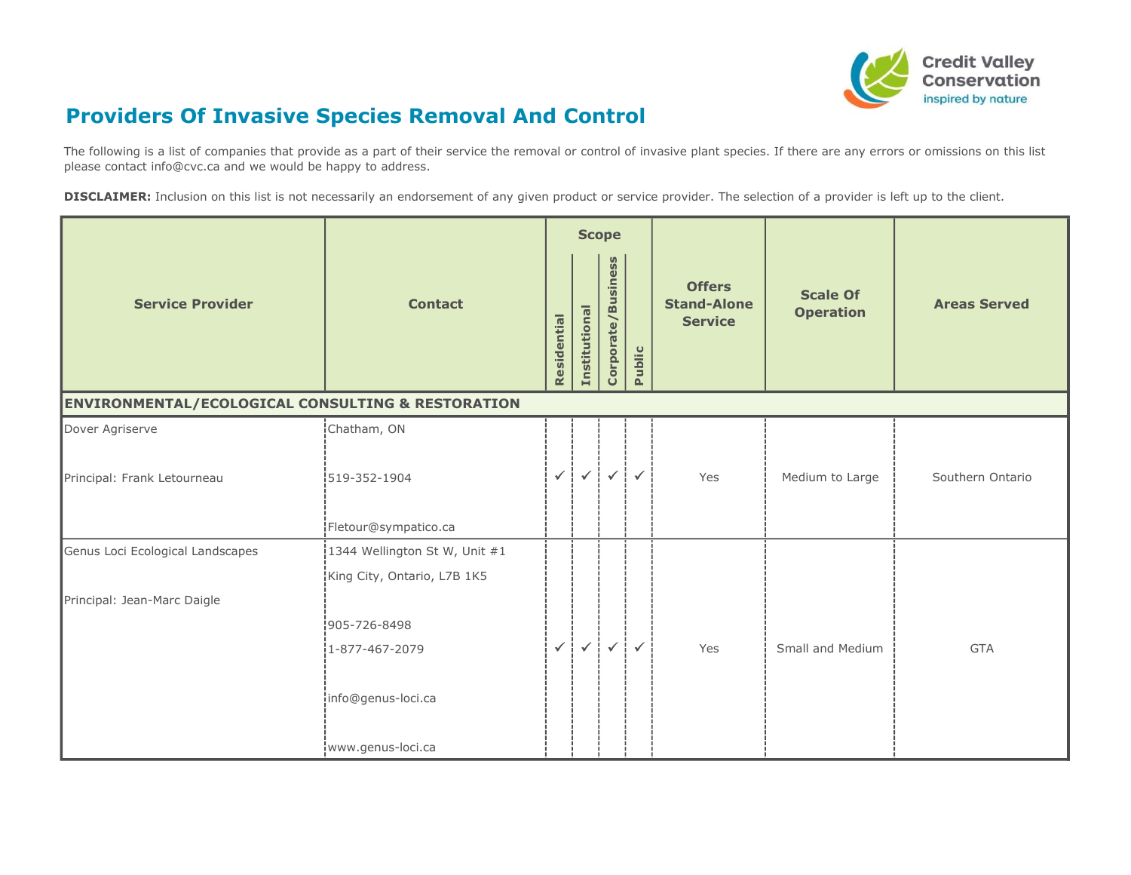

## Providers Of Invasive Species Removal And Control

The following is a list of companies that provide as a part of their service the removal or control of invasive plant species. If there are any errors or omissions on this list please contact info@cvc.ca and we would be happy to address.

DISCLAIMER: Inclusion on this list is not necessarily an endorsement of any given product or service provider. The selection of a provider is left up to the client.

|                                                   |                                 |              |               | <b>Scope</b>                           |              |                                                       |                                     |                     |
|---------------------------------------------------|---------------------------------|--------------|---------------|----------------------------------------|--------------|-------------------------------------------------------|-------------------------------------|---------------------|
| <b>Service Provider</b>                           | <b>Contact</b>                  | Residential  | Institutional | Corporate/Business                     | Public       | <b>Offers</b><br><b>Stand-Alone</b><br><b>Service</b> | <b>Scale Of</b><br><b>Operation</b> | <b>Areas Served</b> |
| ENVIRONMENTAL/ECOLOGICAL CONSULTING & RESTORATION |                                 |              |               |                                        |              |                                                       |                                     |                     |
| Dover Agriserve                                   | Chatham, ON                     |              |               |                                        |              |                                                       |                                     |                     |
| Principal: Frank Letourneau                       | 1519-352-1904                   | $\checkmark$ |               | $\checkmark$ $\checkmark$ $\checkmark$ | $\checkmark$ | Yes                                                   | Medium to Large                     | Southern Ontario    |
|                                                   | Fletour@sympatico.ca            |              |               |                                        |              |                                                       |                                     |                     |
| Genus Loci Ecological Landscapes                  | 1344 Wellington St W, Unit $#1$ |              |               |                                        |              |                                                       |                                     |                     |
|                                                   | King City, Ontario, L7B 1K5     |              |               |                                        |              |                                                       |                                     |                     |
| Principal: Jean-Marc Daigle                       |                                 |              |               |                                        |              |                                                       |                                     |                     |
|                                                   | 905-726-8498                    |              |               |                                        |              |                                                       |                                     |                     |
|                                                   | 1-877-467-2079                  | $\checkmark$ |               | $\checkmark$ $\checkmark$ $\checkmark$ | $\checkmark$ | Yes                                                   | Small and Medium                    | <b>GTA</b>          |
|                                                   | info@genus-loci.ca              |              |               |                                        |              |                                                       |                                     |                     |
|                                                   | www.genus-loci.ca               |              |               |                                        |              |                                                       |                                     |                     |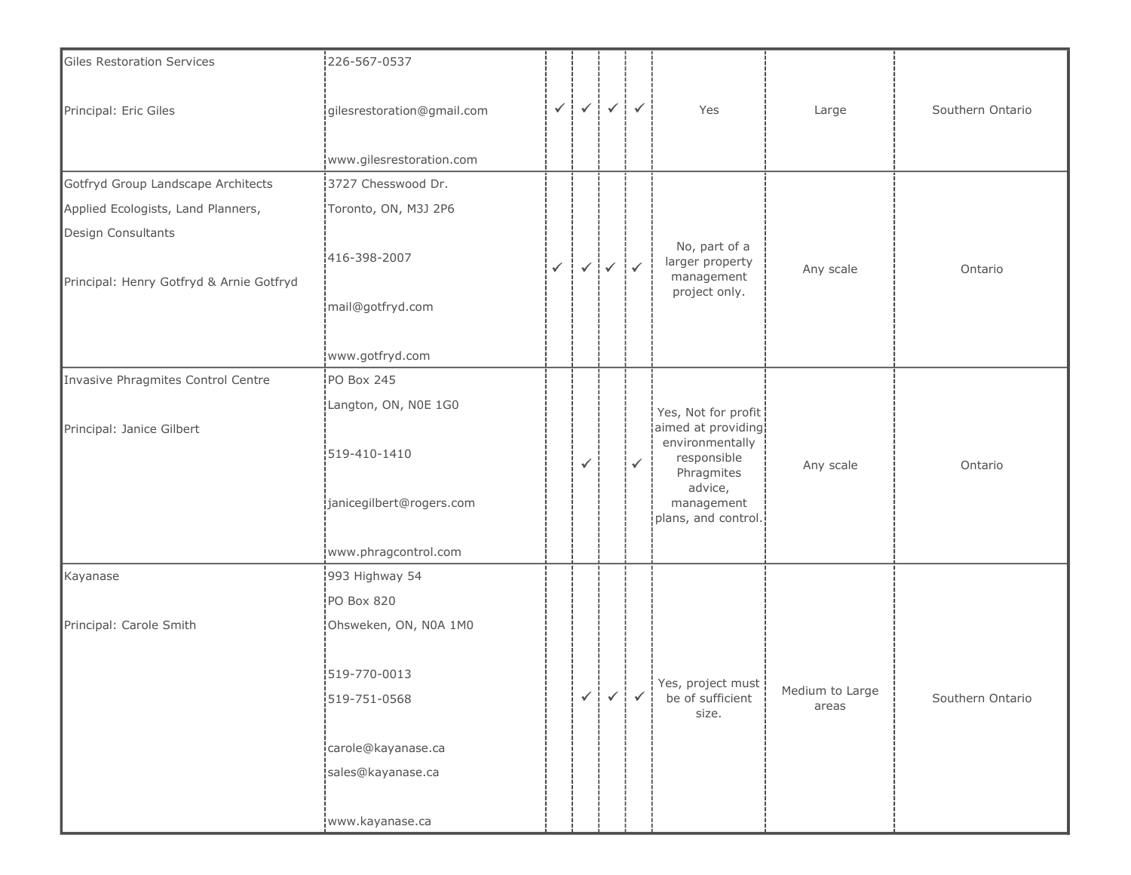| <b>Giles Restoration Services</b>                              | 226-567-0537               |              |              |                                        |              |                                                                     |                          |                  |
|----------------------------------------------------------------|----------------------------|--------------|--------------|----------------------------------------|--------------|---------------------------------------------------------------------|--------------------------|------------------|
| Principal: Eric Giles                                          | gilesrestoration@gmail.com | $\checkmark$ | $\prec^+$    | $\checkmark$                           | $\checkmark$ | Yes                                                                 | Large                    | Southern Ontario |
|                                                                | www.gilesrestoration.com   |              |              |                                        |              |                                                                     |                          |                  |
| Gotfryd Group Landscape Architects                             | 3727 Chesswood Dr.         |              |              |                                        |              |                                                                     |                          |                  |
| Applied Ecologists, Land Planners,                             | Toronto, ON, M3J 2P6       |              |              |                                        |              |                                                                     |                          |                  |
| Design Consultants<br>Principal: Henry Gotfryd & Arnie Gotfryd | 416-398-2007               | $\checkmark$ |              | $\checkmark$ $\checkmark$ $\checkmark$ |              | No, part of a<br>larger property<br>management                      | Any scale                | Ontario          |
|                                                                | mail@gotfryd.com           |              |              |                                        |              | project only.                                                       |                          |                  |
|                                                                | www.gotfryd.com            |              |              |                                        |              |                                                                     |                          |                  |
| Invasive Phragmites Control Centre                             | PO Box 245                 |              |              |                                        |              |                                                                     |                          |                  |
|                                                                | Langton, ON, NOE 1G0       |              |              |                                        |              | Yes, Not for profit                                                 |                          |                  |
| Principal: Janice Gilbert                                      | 519-410-1410               |              | $\checkmark$ |                                        | $\checkmark$ | aimed at providing!<br>environmentally<br>responsible<br>Phragmites | Any scale                | Ontario          |
|                                                                | janicegilbert@rogers.com   |              |              |                                        |              | advice,<br>management<br>plans, and control.                        |                          |                  |
|                                                                | www.phragcontrol.com       |              |              |                                        |              |                                                                     |                          |                  |
| Kayanase                                                       | 993 Highway 54             |              |              |                                        |              |                                                                     |                          |                  |
|                                                                | PO Box 820                 |              |              |                                        |              |                                                                     |                          |                  |
| Principal: Carole Smith                                        | Ohsweken, ON, N0A 1M0      |              |              |                                        |              |                                                                     |                          |                  |
|                                                                | 519-770-0013               |              |              |                                        |              | Yes, project must                                                   |                          |                  |
|                                                                | 519-751-0568               |              | $\checkmark$ | $\checkmark$ :                         | $\checkmark$ | be of sufficient<br>size.                                           | Medium to Large<br>areas | Southern Ontario |
|                                                                | carole@kayanase.ca         |              |              |                                        |              |                                                                     |                          |                  |
|                                                                | sales@kayanase.ca          |              |              |                                        |              |                                                                     |                          |                  |
|                                                                | www.kayanase.ca            |              |              |                                        |              |                                                                     |                          |                  |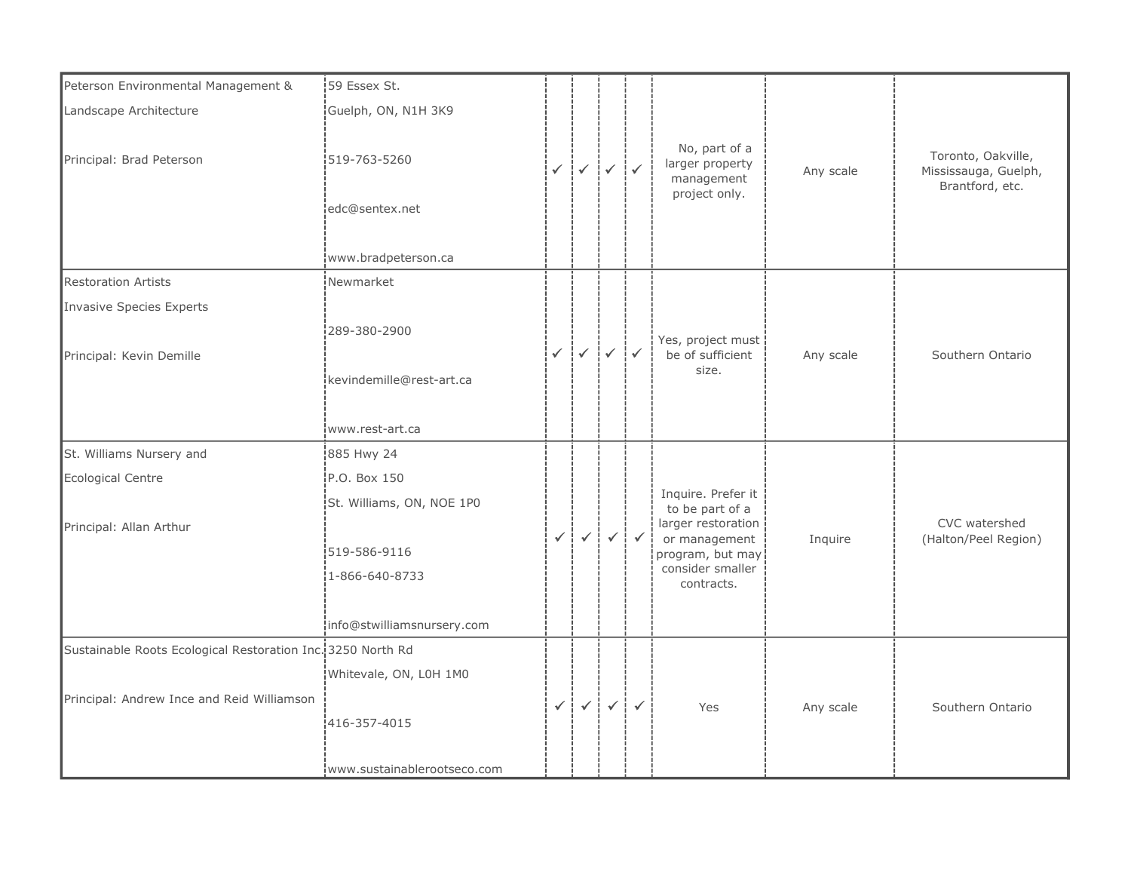| Peterson Environmental Management &                         | 59 Essex St.                                           |              |                                                                  |              |              |                                                                 |           |                                                               |
|-------------------------------------------------------------|--------------------------------------------------------|--------------|------------------------------------------------------------------|--------------|--------------|-----------------------------------------------------------------|-----------|---------------------------------------------------------------|
| Landscape Architecture                                      | Guelph, ON, N1H 3K9                                    |              |                                                                  |              |              |                                                                 |           |                                                               |
| Principal: Brad Peterson                                    | 519-763-5260<br>edc@sentex.net <br>www.bradpeterson.ca |              | $\checkmark$ $\checkmark$ $\checkmark$ $\checkmark$              |              |              | No, part of a<br>larger property<br>management<br>project only. | Any scale | Toronto, Oakville,<br>Mississauga, Guelph,<br>Brantford, etc. |
| <b>Restoration Artists</b>                                  | Newmarket                                              |              |                                                                  |              |              |                                                                 |           |                                                               |
| Invasive Species Experts                                    |                                                        |              |                                                                  |              |              |                                                                 |           |                                                               |
| Principal: Kevin Demille                                    | 289-380-2900                                           |              | $\checkmark$ $\checkmark$ $\checkmark$ $\checkmark$ $\checkmark$ |              |              | Yes, project must<br>be of sufficient<br>size.                  | Any scale | Southern Ontario                                              |
|                                                             | kevindemille@rest-art.ca                               |              |                                                                  |              |              |                                                                 |           |                                                               |
|                                                             | www.rest-art.ca                                        |              |                                                                  |              |              |                                                                 |           |                                                               |
| St. Williams Nursery and                                    | 885 Hwy 24                                             |              |                                                                  |              |              |                                                                 |           |                                                               |
| Ecological Centre                                           | P.O. Box 150                                           |              |                                                                  |              |              |                                                                 |           |                                                               |
|                                                             | St. Williams, ON, NOE 1P0                              |              |                                                                  |              |              | Inquire. Prefer it<br>to be part of a                           |           |                                                               |
| Principal: Allan Arthur                                     |                                                        | $\checkmark$ | $\checkmark$ !                                                   | $\checkmark$ | $\checkmark$ | larger restoration<br>or management                             | Inquire   | CVC watershed<br>(Halton/Peel Region)                         |
|                                                             | 519-586-9116]                                          |              |                                                                  |              |              | program, but may                                                |           |                                                               |
|                                                             | $1 - 866 - 640 - 8733$                                 |              |                                                                  |              |              | consider smaller<br>contracts.                                  |           |                                                               |
|                                                             |                                                        |              |                                                                  |              |              |                                                                 |           |                                                               |
|                                                             | info@stwilliamsnursery.com                             |              |                                                                  |              |              |                                                                 |           |                                                               |
| Sustainable Roots Ecological Restoration Inc. 3250 North Rd |                                                        |              |                                                                  |              |              |                                                                 |           |                                                               |
|                                                             | Whitevale, ON, L0H 1M0                                 |              |                                                                  |              |              |                                                                 |           |                                                               |
| Principal: Andrew Ince and Reid Williamson                  | 416-357-4015                                           | $\checkmark$ | $\checkmark$                                                     | $\checkmark$ | $\checkmark$ | Yes                                                             | Any scale | Southern Ontario                                              |
|                                                             | www.sustainablerootseco.com                            |              |                                                                  |              |              |                                                                 |           |                                                               |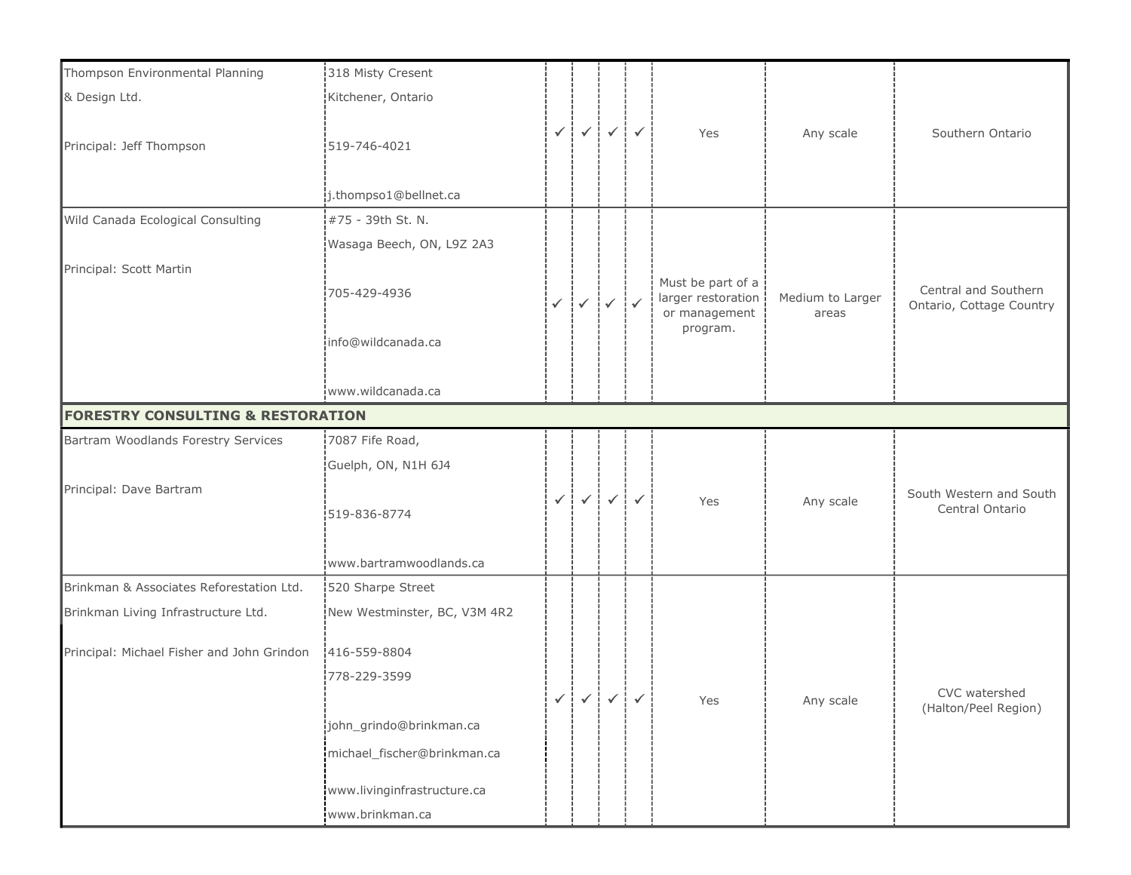| Thompson Environmental Planning              | 318 Misty Cresent                     |                |                                                                  |                                                     |                     |                                     |                           |                                                  |
|----------------------------------------------|---------------------------------------|----------------|------------------------------------------------------------------|-----------------------------------------------------|---------------------|-------------------------------------|---------------------------|--------------------------------------------------|
| & Design Ltd.                                | Kitchener, Ontario                    |                |                                                                  |                                                     |                     |                                     |                           |                                                  |
| Principal: Jeff Thompson                     | 519-746-4021<br>j.thompso1@bellnet.ca | $\checkmark$ i |                                                                  | $\checkmark$ $\checkmark$ $\checkmark$ $\checkmark$ | $\checkmark$        | Yes                                 | Any scale                 | Southern Ontario                                 |
| Wild Canada Ecological Consulting            | #75 - 39th St. N.                     |                |                                                                  |                                                     |                     |                                     |                           |                                                  |
|                                              | Wasaga Beech, ON, L9Z 2A3             |                |                                                                  |                                                     |                     |                                     |                           |                                                  |
| Principal: Scott Martin                      |                                       |                |                                                                  |                                                     |                     | Must be part of a                   |                           |                                                  |
|                                              | 705-429-4936                          |                | $\checkmark$ $\checkmark$ $\checkmark$ $\checkmark$ $\checkmark$ |                                                     |                     | larger restoration<br>or management | Medium to Larger<br>areas | Central and Southern<br>Ontario, Cottage Country |
|                                              | info@wildcanada.ca                    |                |                                                                  |                                                     |                     | program.                            |                           |                                                  |
|                                              | www.wildcanada.ca                     |                |                                                                  |                                                     |                     |                                     |                           |                                                  |
| <b>FORESTRY CONSULTING &amp; RESTORATION</b> |                                       |                |                                                                  |                                                     |                     |                                     |                           |                                                  |
| Bartram Woodlands Forestry Services          | 7087 Fife Road,                       |                |                                                                  |                                                     |                     |                                     |                           |                                                  |
|                                              | Guelph, ON, N1H 6J4                   |                |                                                                  |                                                     |                     |                                     |                           |                                                  |
| Principal: Dave Bartram                      | 519-836-8774                          | $\checkmark$   | $\checkmark$                                                     | $\checkmark$                                        | $\checkmark$        | Yes                                 | Any scale                 | South Western and South<br>Central Ontario       |
|                                              | www.bartramwoodlands.ca               |                |                                                                  |                                                     |                     |                                     |                           |                                                  |
| Brinkman & Associates Reforestation Ltd.     | 520 Sharpe Street                     |                |                                                                  |                                                     |                     |                                     |                           |                                                  |
| Brinkman Living Infrastructure Ltd.          | New Westminster, BC, V3M 4R2          |                |                                                                  |                                                     |                     |                                     |                           |                                                  |
| Principal: Michael Fisher and John Grindon   | 1416-559-8804                         |                |                                                                  |                                                     |                     |                                     |                           |                                                  |
|                                              | 778-229-3599                          |                |                                                                  |                                                     |                     |                                     |                           |                                                  |
|                                              |                                       | $\checkmark$ : |                                                                  | $\checkmark$ $\checkmark$ $\checkmark$              | $\mathcal{A}^{\pm}$ | Yes                                 | Any scale                 | CVC watershed<br>(Halton/Peel Region)            |
|                                              | .<br>john_grindo@brinkman.ca          |                |                                                                  |                                                     |                     |                                     |                           |                                                  |
|                                              | michael_fischer@brinkman.ca           |                |                                                                  |                                                     |                     |                                     |                           |                                                  |
|                                              | www.livinginfrastructure.ca           |                |                                                                  |                                                     |                     |                                     |                           |                                                  |
|                                              | www.brinkman.ca                       |                |                                                                  |                                                     |                     |                                     |                           |                                                  |